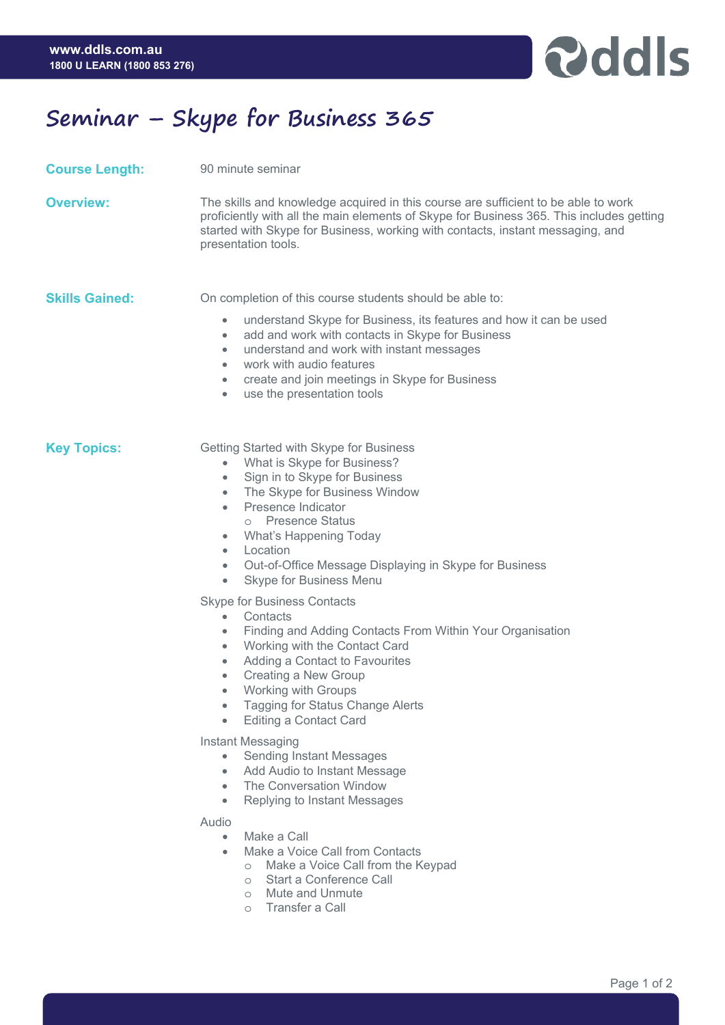

## **Seminar – Skype for Business 365**

**Course Length:** 90 minute seminar

**Overview:** The skills and knowledge acquired in this course are sufficient to be able to work proficiently with all the main elements of Skype for Business 365. This includes getting started with Skype for Business, working with contacts, instant messaging, and presentation tools.

**Skills Gained:** On completion of this course students should be able to:

- understand Skype for Business, its features and how it can be used
- add and work with contacts in Skype for Business
- understand and work with instant messages
- work with audio features
- create and join meetings in Skype for Business
- use the presentation tools

- **Key Topics: Getting Started with Skype for Business** 
	- What is Skype for Business?
	- Sign in to Skype for Business
	- The Skype for Business Window
	- Presence Indicator
		- o Presence Status
	- What's Happening Today
	- Location
	- Out-of-Office Message Displaying in Skype for Business
	- Skype for Business Menu

Skype for Business Contacts

- **Contacts**
- Finding and Adding Contacts From Within Your Organisation
- Working with the Contact Card
- Adding a Contact to Favourites
- Creating a New Group
- Working with Groups
- Tagging for Status Change Alerts
- Editing a Contact Card

Instant Messaging

- Sending Instant Messages
- Add Audio to Instant Message
- The Conversation Window
- Replying to Instant Messages

## Audio

- Make a Call
- Make a Voice Call from Contacts
	- o Make a Voice Call from the Keypad
	- o Start a Conference Call
	- o Mute and Unmute
	- o Transfer a Call